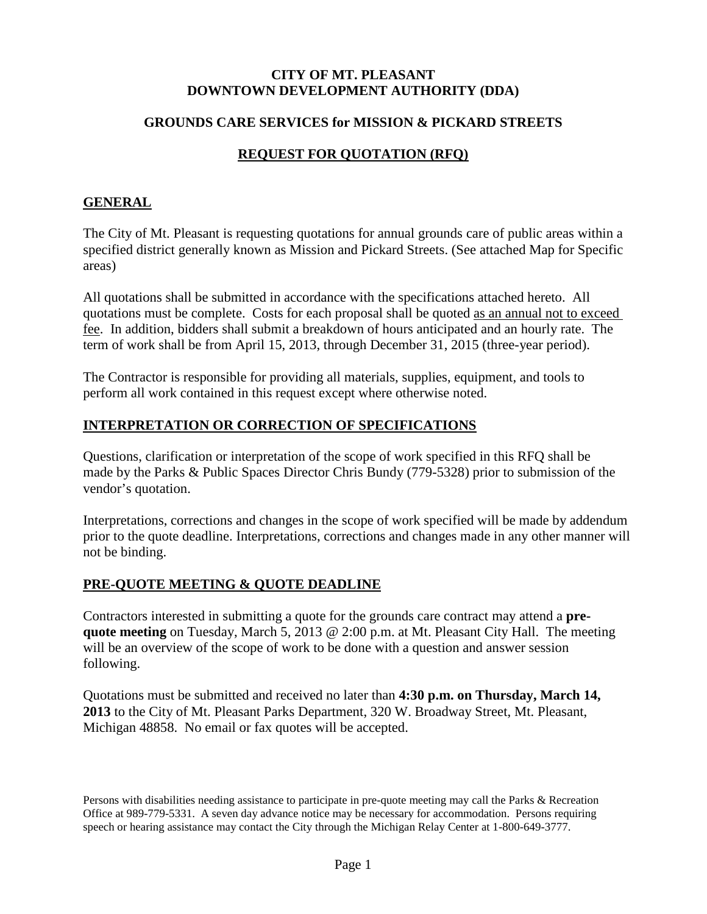#### **CITY OF MT. PLEASANT DOWNTOWN DEVELOPMENT AUTHORITY (DDA)**

#### **GROUNDS CARE SERVICES for MISSION & PICKARD STREETS**

# **REQUEST FOR QUOTATION (RFQ)**

#### **GENERAL**

The City of Mt. Pleasant is requesting quotations for annual grounds care of public areas within a specified district generally known as Mission and Pickard Streets. (See attached Map for Specific areas)

All quotations shall be submitted in accordance with the specifications attached hereto. All quotations must be complete. Costs for each proposal shall be quoted as an annual not to exceed fee. In addition, bidders shall submit a breakdown of hours anticipated and an hourly rate. The term of work shall be from April 15, 2013, through December 31, 2015 (three-year period).

The Contractor is responsible for providing all materials, supplies, equipment, and tools to perform all work contained in this request except where otherwise noted.

#### **INTERPRETATION OR CORRECTION OF SPECIFICATIONS**

Questions, clarification or interpretation of the scope of work specified in this RFQ shall be made by the Parks & Public Spaces Director Chris Bundy (779-5328) prior to submission of the vendor's quotation.

Interpretations, corrections and changes in the scope of work specified will be made by addendum prior to the quote deadline. Interpretations, corrections and changes made in any other manner will not be binding.

# **PRE-QUOTE MEETING & QUOTE DEADLINE**

Contractors interested in submitting a quote for the grounds care contract may attend a **prequote meeting** on Tuesday, March 5, 2013 @ 2:00 p.m. at Mt. Pleasant City Hall. The meeting will be an overview of the scope of work to be done with a question and answer session following.

Quotations must be submitted and received no later than **4:30 p.m. on Thursday, March 14, 2013** to the City of Mt. Pleasant Parks Department, 320 W. Broadway Street, Mt. Pleasant, Michigan 48858. No email or fax quotes will be accepted.

Persons with disabilities needing assistance to participate in pre-quote meeting may call the Parks & Recreation Office at 989-779-5331. A seven day advance notice may be necessary for accommodation. Persons requiring speech or hearing assistance may contact the City through the Michigan Relay Center at 1-800-649-3777.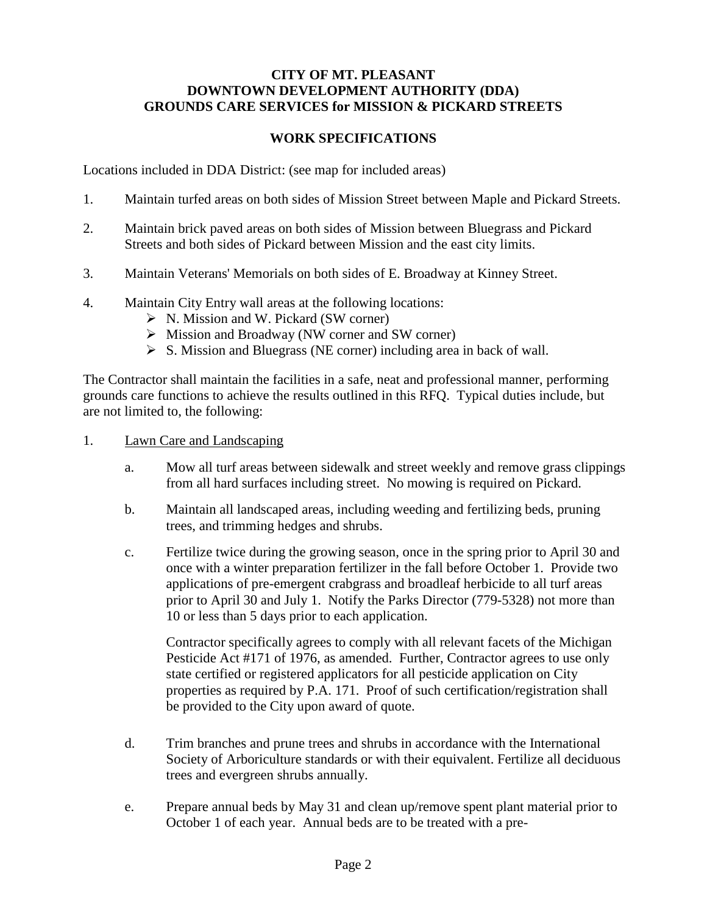#### **CITY OF MT. PLEASANT DOWNTOWN DEVELOPMENT AUTHORITY (DDA) GROUNDS CARE SERVICES for MISSION & PICKARD STREETS**

#### **WORK SPECIFICATIONS**

Locations included in DDA District: (see map for included areas)

- 1. Maintain turfed areas on both sides of Mission Street between Maple and Pickard Streets.
- 2. Maintain brick paved areas on both sides of Mission between Bluegrass and Pickard Streets and both sides of Pickard between Mission and the east city limits.
- 3. Maintain Veterans' Memorials on both sides of E. Broadway at Kinney Street.
- 4. Maintain City Entry wall areas at the following locations:
	- $\triangleright$  N. Mission and W. Pickard (SW corner)
	- $\triangleright$  Mission and Broadway (NW corner and SW corner)
	- $\triangleright$  S. Mission and Bluegrass (NE corner) including area in back of wall.

The Contractor shall maintain the facilities in a safe, neat and professional manner, performing grounds care functions to achieve the results outlined in this RFQ. Typical duties include, but are not limited to, the following:

- 1. Lawn Care and Landscaping
	- a. Mow all turf areas between sidewalk and street weekly and remove grass clippings from all hard surfaces including street. No mowing is required on Pickard.
	- b. Maintain all landscaped areas, including weeding and fertilizing beds, pruning trees, and trimming hedges and shrubs.
	- c. Fertilize twice during the growing season, once in the spring prior to April 30 and once with a winter preparation fertilizer in the fall before October 1. Provide two applications of pre-emergent crabgrass and broadleaf herbicide to all turf areas prior to April 30 and July 1. Notify the Parks Director (779-5328) not more than 10 or less than 5 days prior to each application.

Contractor specifically agrees to comply with all relevant facets of the Michigan Pesticide Act #171 of 1976, as amended. Further, Contractor agrees to use only state certified or registered applicators for all pesticide application on City properties as required by P.A. 171. Proof of such certification/registration shall be provided to the City upon award of quote.

- d. Trim branches and prune trees and shrubs in accordance with the International Society of Arboriculture standards or with their equivalent. Fertilize all deciduous trees and evergreen shrubs annually.
- e. Prepare annual beds by May 31 and clean up/remove spent plant material prior to October 1 of each year. Annual beds are to be treated with a pre-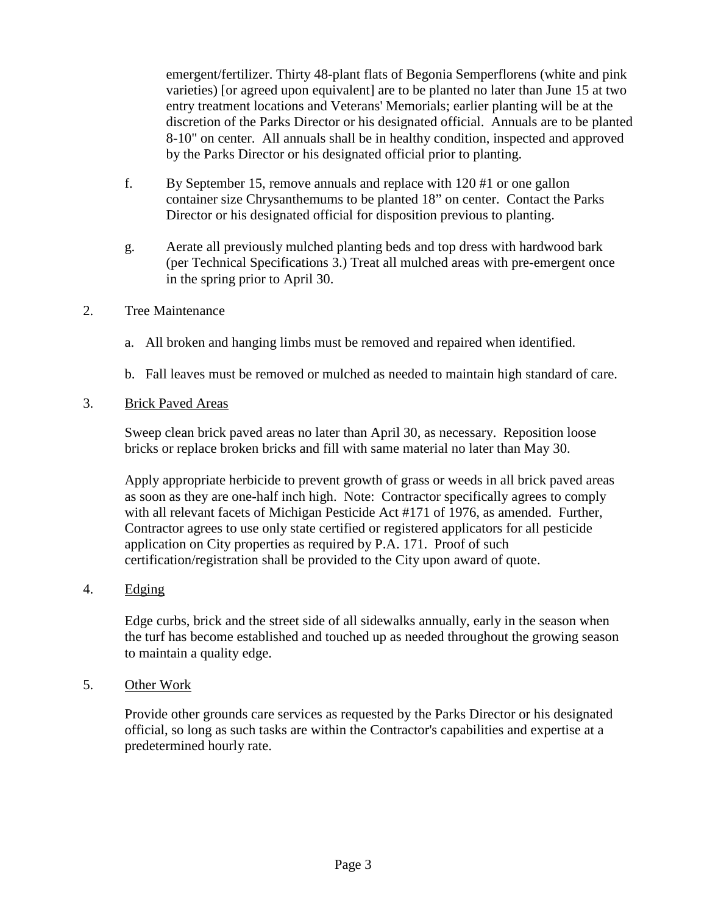emergent/fertilizer. Thirty 48-plant flats of Begonia Semperflorens (white and pink varieties) [or agreed upon equivalent] are to be planted no later than June 15 at two entry treatment locations and Veterans' Memorials; earlier planting will be at the discretion of the Parks Director or his designated official. Annuals are to be planted 8-10" on center. All annuals shall be in healthy condition, inspected and approved by the Parks Director or his designated official prior to planting.

- f. By September 15, remove annuals and replace with 120 #1 or one gallon container size Chrysanthemums to be planted 18" on center. Contact the Parks Director or his designated official for disposition previous to planting.
- g. Aerate all previously mulched planting beds and top dress with hardwood bark (per Technical Specifications 3.) Treat all mulched areas with pre-emergent once in the spring prior to April 30.
- 2. Tree Maintenance
	- a. All broken and hanging limbs must be removed and repaired when identified.
	- b. Fall leaves must be removed or mulched as needed to maintain high standard of care.
- 3. Brick Paved Areas

Sweep clean brick paved areas no later than April 30, as necessary. Reposition loose bricks or replace broken bricks and fill with same material no later than May 30.

Apply appropriate herbicide to prevent growth of grass or weeds in all brick paved areas as soon as they are one-half inch high. Note: Contractor specifically agrees to comply with all relevant facets of Michigan Pesticide Act #171 of 1976, as amended. Further, Contractor agrees to use only state certified or registered applicators for all pesticide application on City properties as required by P.A. 171. Proof of such certification/registration shall be provided to the City upon award of quote.

4. Edging

Edge curbs, brick and the street side of all sidewalks annually, early in the season when the turf has become established and touched up as needed throughout the growing season to maintain a quality edge.

5. Other Work

Provide other grounds care services as requested by the Parks Director or his designated official, so long as such tasks are within the Contractor's capabilities and expertise at a predetermined hourly rate.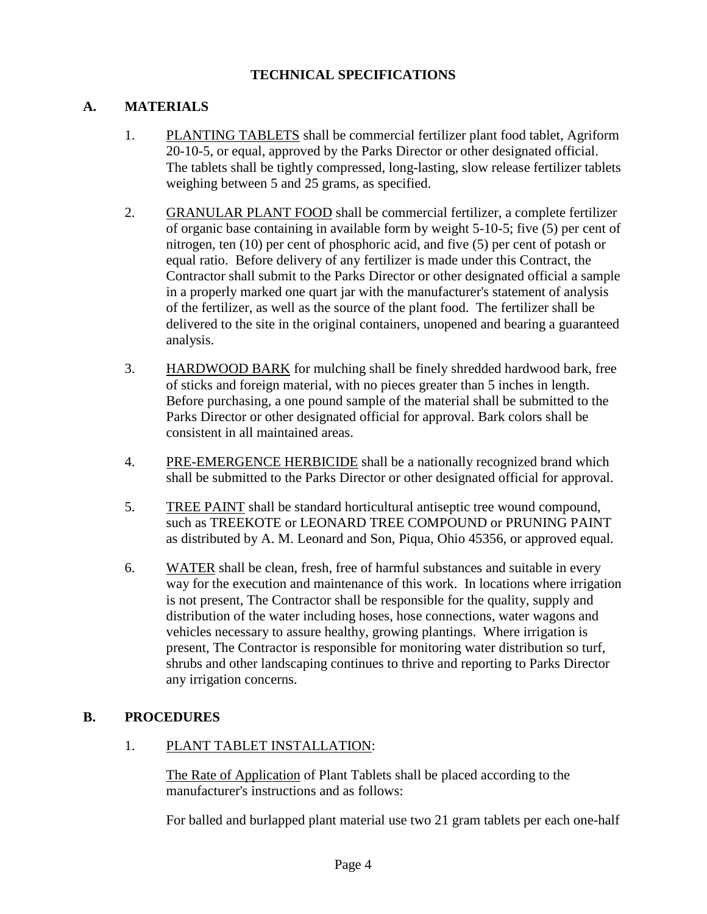#### **TECHNICAL SPECIFICATIONS**

# **A. MATERIALS**

- 1. PLANTING TABLETS shall be commercial fertilizer plant food tablet, Agriform 20-10-5, or equal, approved by the Parks Director or other designated official. The tablets shall be tightly compressed, long-lasting, slow release fertilizer tablets weighing between 5 and 25 grams, as specified.
- 2. GRANULAR PLANT FOOD shall be commercial fertilizer, a complete fertilizer of organic base containing in available form by weight 5-10-5; five (5) per cent of nitrogen, ten (10) per cent of phosphoric acid, and five (5) per cent of potash or equal ratio. Before delivery of any fertilizer is made under this Contract, the Contractor shall submit to the Parks Director or other designated official a sample in a properly marked one quart jar with the manufacturer's statement of analysis of the fertilizer, as well as the source of the plant food. The fertilizer shall be delivered to the site in the original containers, unopened and bearing a guaranteed analysis.
- 3. HARDWOOD BARK for mulching shall be finely shredded hardwood bark, free of sticks and foreign material, with no pieces greater than 5 inches in length. Before purchasing, a one pound sample of the material shall be submitted to the Parks Director or other designated official for approval. Bark colors shall be consistent in all maintained areas.
- 4. PRE-EMERGENCE HERBICIDE shall be a nationally recognized brand which shall be submitted to the Parks Director or other designated official for approval.
- 5. TREE PAINT shall be standard horticultural antiseptic tree wound compound, such as TREEKOTE or LEONARD TREE COMPOUND or PRUNING PAINT as distributed by A. M. Leonard and Son, Piqua, Ohio 45356, or approved equal.
- 6. WATER shall be clean, fresh, free of harmful substances and suitable in every way for the execution and maintenance of this work. In locations where irrigation is not present, The Contractor shall be responsible for the quality, supply and distribution of the water including hoses, hose connections, water wagons and vehicles necessary to assure healthy, growing plantings. Where irrigation is present, The Contractor is responsible for monitoring water distribution so turf, shrubs and other landscaping continues to thrive and reporting to Parks Director any irrigation concerns.

# **B. PROCEDURES**

# 1. PLANT TABLET INSTALLATION:

The Rate of Application of Plant Tablets shall be placed according to the manufacturer's instructions and as follows:

For balled and burlapped plant material use two 21 gram tablets per each one-half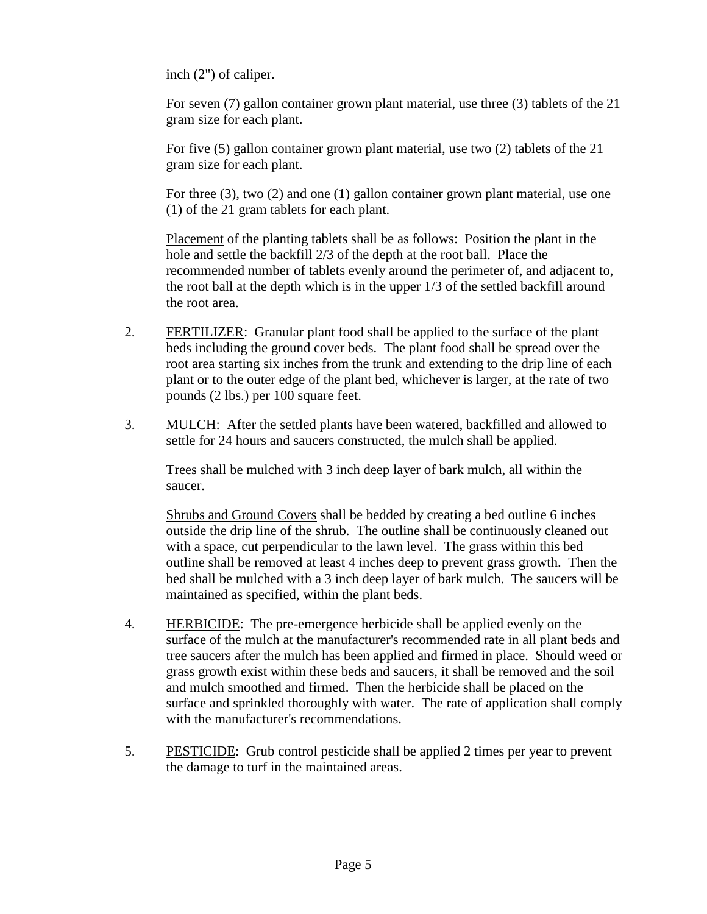inch (2") of caliper.

For seven (7) gallon container grown plant material, use three (3) tablets of the 21 gram size for each plant.

For five (5) gallon container grown plant material, use two (2) tablets of the 21 gram size for each plant.

For three (3), two (2) and one (1) gallon container grown plant material, use one (1) of the 21 gram tablets for each plant.

Placement of the planting tablets shall be as follows: Position the plant in the hole and settle the backfill 2/3 of the depth at the root ball. Place the recommended number of tablets evenly around the perimeter of, and adjacent to, the root ball at the depth which is in the upper 1/3 of the settled backfill around the root area.

- 2. FERTILIZER: Granular plant food shall be applied to the surface of the plant beds including the ground cover beds. The plant food shall be spread over the root area starting six inches from the trunk and extending to the drip line of each plant or to the outer edge of the plant bed, whichever is larger, at the rate of two pounds (2 lbs.) per 100 square feet.
- 3. MULCH: After the settled plants have been watered, backfilled and allowed to settle for 24 hours and saucers constructed, the mulch shall be applied.

Trees shall be mulched with 3 inch deep layer of bark mulch, all within the saucer.

Shrubs and Ground Covers shall be bedded by creating a bed outline 6 inches outside the drip line of the shrub. The outline shall be continuously cleaned out with a space, cut perpendicular to the lawn level. The grass within this bed outline shall be removed at least 4 inches deep to prevent grass growth. Then the bed shall be mulched with a 3 inch deep layer of bark mulch. The saucers will be maintained as specified, within the plant beds.

- 4. HERBICIDE: The pre-emergence herbicide shall be applied evenly on the surface of the mulch at the manufacturer's recommended rate in all plant beds and tree saucers after the mulch has been applied and firmed in place. Should weed or grass growth exist within these beds and saucers, it shall be removed and the soil and mulch smoothed and firmed. Then the herbicide shall be placed on the surface and sprinkled thoroughly with water. The rate of application shall comply with the manufacturer's recommendations.
- 5. PESTICIDE: Grub control pesticide shall be applied 2 times per year to prevent the damage to turf in the maintained areas.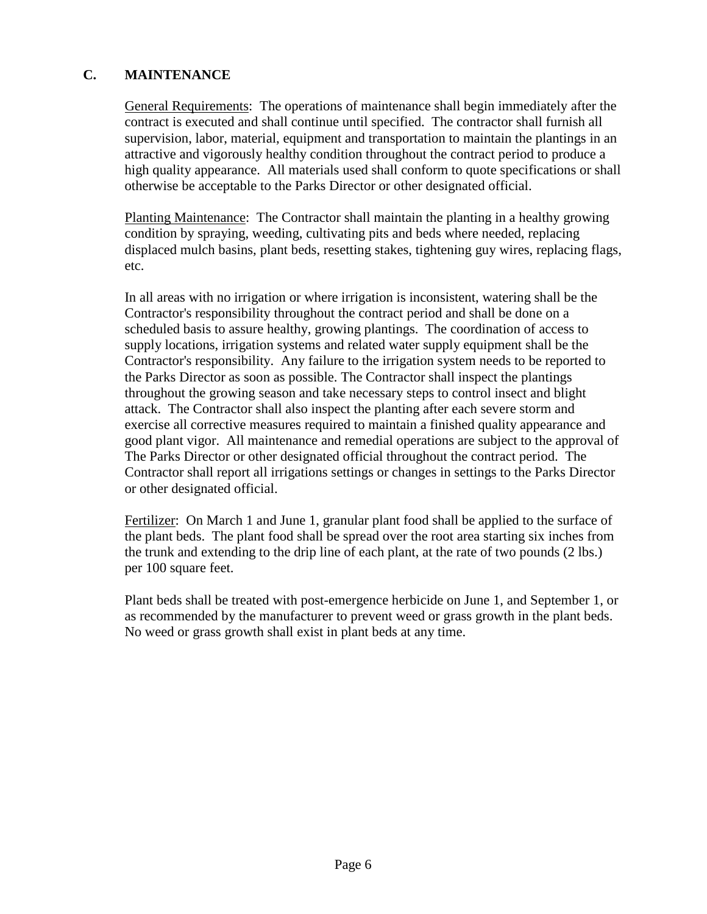# **C. MAINTENANCE**

General Requirements: The operations of maintenance shall begin immediately after the contract is executed and shall continue until specified. The contractor shall furnish all supervision, labor, material, equipment and transportation to maintain the plantings in an attractive and vigorously healthy condition throughout the contract period to produce a high quality appearance. All materials used shall conform to quote specifications or shall otherwise be acceptable to the Parks Director or other designated official.

Planting Maintenance: The Contractor shall maintain the planting in a healthy growing condition by spraying, weeding, cultivating pits and beds where needed, replacing displaced mulch basins, plant beds, resetting stakes, tightening guy wires, replacing flags, etc.

In all areas with no irrigation or where irrigation is inconsistent, watering shall be the Contractor's responsibility throughout the contract period and shall be done on a scheduled basis to assure healthy, growing plantings. The coordination of access to supply locations, irrigation systems and related water supply equipment shall be the Contractor's responsibility. Any failure to the irrigation system needs to be reported to the Parks Director as soon as possible. The Contractor shall inspect the plantings throughout the growing season and take necessary steps to control insect and blight attack. The Contractor shall also inspect the planting after each severe storm and exercise all corrective measures required to maintain a finished quality appearance and good plant vigor. All maintenance and remedial operations are subject to the approval of The Parks Director or other designated official throughout the contract period. The Contractor shall report all irrigations settings or changes in settings to the Parks Director or other designated official.

Fertilizer: On March 1 and June 1, granular plant food shall be applied to the surface of the plant beds. The plant food shall be spread over the root area starting six inches from the trunk and extending to the drip line of each plant, at the rate of two pounds (2 lbs.) per 100 square feet.

Plant beds shall be treated with post-emergence herbicide on June 1, and September 1, or as recommended by the manufacturer to prevent weed or grass growth in the plant beds. No weed or grass growth shall exist in plant beds at any time.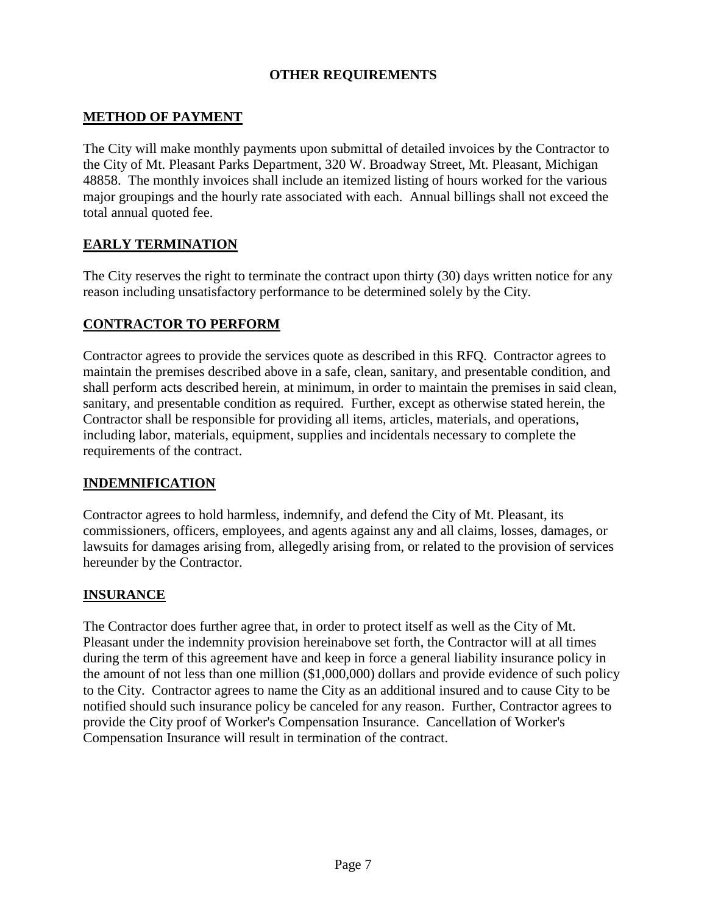# **OTHER REQUIREMENTS**

# **METHOD OF PAYMENT**

The City will make monthly payments upon submittal of detailed invoices by the Contractor to the City of Mt. Pleasant Parks Department, 320 W. Broadway Street, Mt. Pleasant, Michigan 48858. The monthly invoices shall include an itemized listing of hours worked for the various major groupings and the hourly rate associated with each. Annual billings shall not exceed the total annual quoted fee.

# **EARLY TERMINATION**

The City reserves the right to terminate the contract upon thirty (30) days written notice for any reason including unsatisfactory performance to be determined solely by the City.

#### **CONTRACTOR TO PERFORM**

Contractor agrees to provide the services quote as described in this RFQ. Contractor agrees to maintain the premises described above in a safe, clean, sanitary, and presentable condition, and shall perform acts described herein, at minimum, in order to maintain the premises in said clean, sanitary, and presentable condition as required. Further, except as otherwise stated herein, the Contractor shall be responsible for providing all items, articles, materials, and operations, including labor, materials, equipment, supplies and incidentals necessary to complete the requirements of the contract.

# **INDEMNIFICATION**

Contractor agrees to hold harmless, indemnify, and defend the City of Mt. Pleasant, its commissioners, officers, employees, and agents against any and all claims, losses, damages, or lawsuits for damages arising from, allegedly arising from, or related to the provision of services hereunder by the Contractor.

# **INSURANCE**

The Contractor does further agree that, in order to protect itself as well as the City of Mt. Pleasant under the indemnity provision hereinabove set forth, the Contractor will at all times during the term of this agreement have and keep in force a general liability insurance policy in the amount of not less than one million (\$1,000,000) dollars and provide evidence of such policy to the City. Contractor agrees to name the City as an additional insured and to cause City to be notified should such insurance policy be canceled for any reason. Further, Contractor agrees to provide the City proof of Worker's Compensation Insurance. Cancellation of Worker's Compensation Insurance will result in termination of the contract.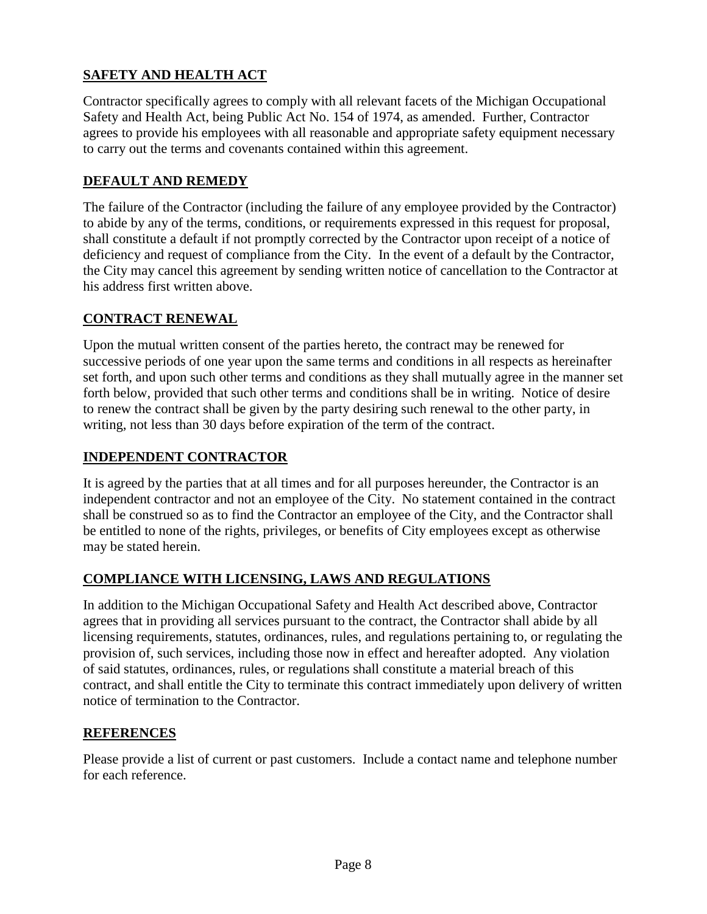# **SAFETY AND HEALTH ACT**

Contractor specifically agrees to comply with all relevant facets of the Michigan Occupational Safety and Health Act, being Public Act No. 154 of 1974, as amended. Further, Contractor agrees to provide his employees with all reasonable and appropriate safety equipment necessary to carry out the terms and covenants contained within this agreement.

# **DEFAULT AND REMEDY**

The failure of the Contractor (including the failure of any employee provided by the Contractor) to abide by any of the terms, conditions, or requirements expressed in this request for proposal, shall constitute a default if not promptly corrected by the Contractor upon receipt of a notice of deficiency and request of compliance from the City. In the event of a default by the Contractor, the City may cancel this agreement by sending written notice of cancellation to the Contractor at his address first written above.

# **CONTRACT RENEWAL**

Upon the mutual written consent of the parties hereto, the contract may be renewed for successive periods of one year upon the same terms and conditions in all respects as hereinafter set forth, and upon such other terms and conditions as they shall mutually agree in the manner set forth below, provided that such other terms and conditions shall be in writing. Notice of desire to renew the contract shall be given by the party desiring such renewal to the other party, in writing, not less than 30 days before expiration of the term of the contract.

# **INDEPENDENT CONTRACTOR**

It is agreed by the parties that at all times and for all purposes hereunder, the Contractor is an independent contractor and not an employee of the City. No statement contained in the contract shall be construed so as to find the Contractor an employee of the City, and the Contractor shall be entitled to none of the rights, privileges, or benefits of City employees except as otherwise may be stated herein.

# **COMPLIANCE WITH LICENSING, LAWS AND REGULATIONS**

In addition to the Michigan Occupational Safety and Health Act described above, Contractor agrees that in providing all services pursuant to the contract, the Contractor shall abide by all licensing requirements, statutes, ordinances, rules, and regulations pertaining to, or regulating the provision of, such services, including those now in effect and hereafter adopted. Any violation of said statutes, ordinances, rules, or regulations shall constitute a material breach of this contract, and shall entitle the City to terminate this contract immediately upon delivery of written notice of termination to the Contractor.

# **REFERENCES**

Please provide a list of current or past customers. Include a contact name and telephone number for each reference.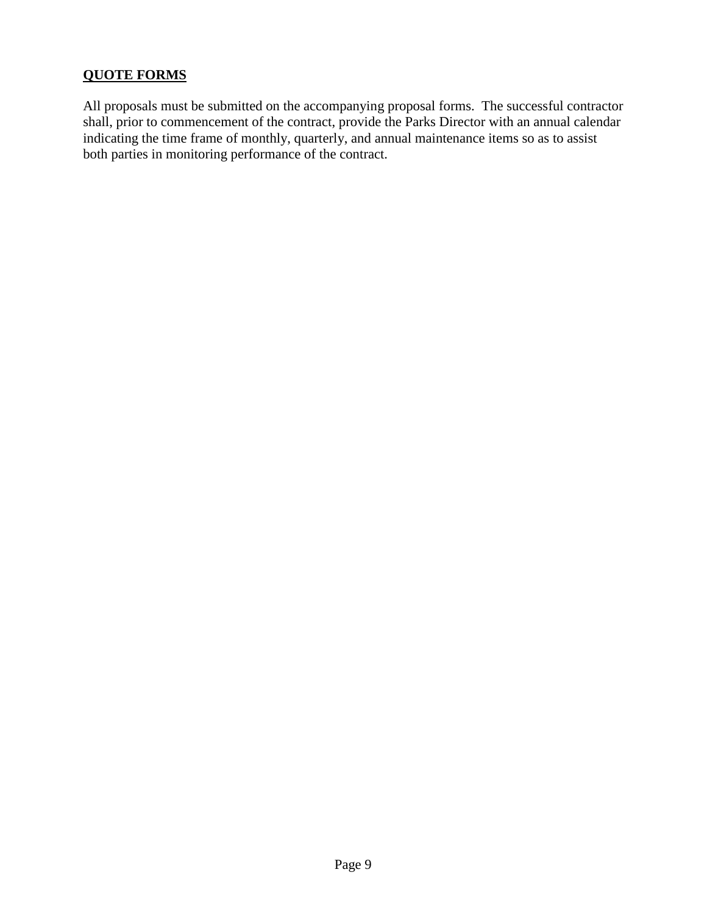# **QUOTE FORMS**

All proposals must be submitted on the accompanying proposal forms. The successful contractor shall, prior to commencement of the contract, provide the Parks Director with an annual calendar indicating the time frame of monthly, quarterly, and annual maintenance items so as to assist both parties in monitoring performance of the contract.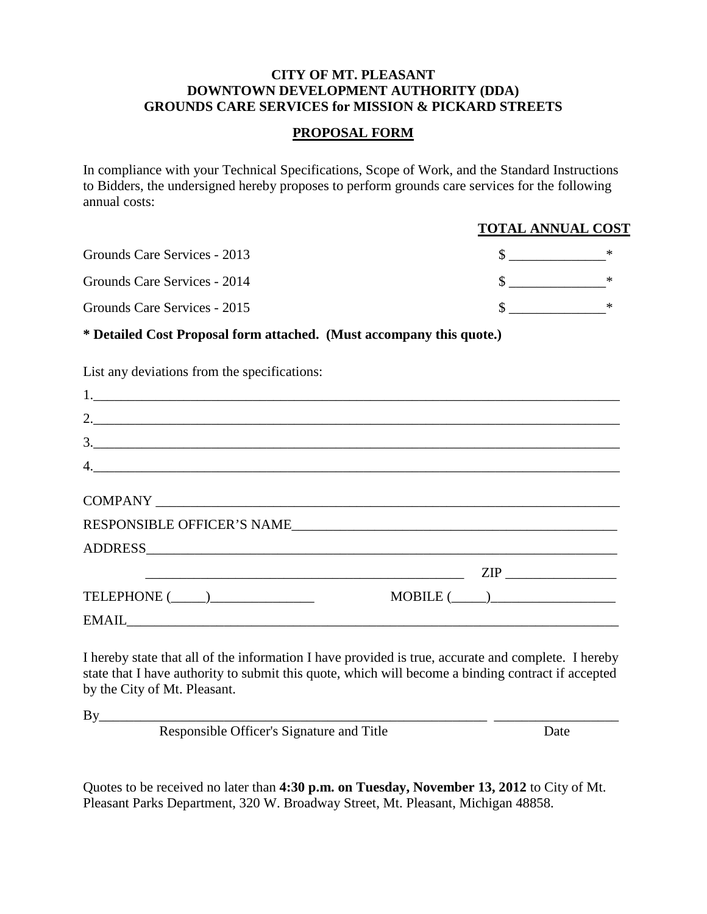#### **CITY OF MT. PLEASANT DOWNTOWN DEVELOPMENT AUTHORITY (DDA) GROUNDS CARE SERVICES for MISSION & PICKARD STREETS**

#### **PROPOSAL FORM**

In compliance with your Technical Specifications, Scope of Work, and the Standard Instructions to Bidders, the undersigned hereby proposes to perform grounds care services for the following annual costs:

#### **TOTAL ANNUAL COST**

| Grounds Care Services - 2013 |  |
|------------------------------|--|
| Grounds Care Services - 2014 |  |
| Grounds Care Services - 2015 |  |

**\* Detailed Cost Proposal form attached. (Must accompany this quote.)**

| List any deviations from the specifications:                                                                                                                                                                                                                                                                                                                                                                                                                                                        |                |
|-----------------------------------------------------------------------------------------------------------------------------------------------------------------------------------------------------------------------------------------------------------------------------------------------------------------------------------------------------------------------------------------------------------------------------------------------------------------------------------------------------|----------------|
|                                                                                                                                                                                                                                                                                                                                                                                                                                                                                                     |                |
|                                                                                                                                                                                                                                                                                                                                                                                                                                                                                                     |                |
| 3.                                                                                                                                                                                                                                                                                                                                                                                                                                                                                                  |                |
| $\begin{array}{c} \n4. \quad \textcolor{blue}{\textbf{12.12}} \quad \textcolor{blue}{\textbf{13.13}} \quad \textcolor{blue}{\textbf{14.13}} \quad \textcolor{blue}{\textbf{15.13}} \quad \textcolor{blue}{\textbf{16.13}} \quad \textcolor{blue}{\textbf{17.13}} \quad \textcolor{blue}{\textbf{18.13}} \quad \textcolor{blue}{\textbf{19.13}} \quad \textcolor{blue}{\textbf{19.13}} \quad \textcolor{blue}{\textbf{19.13}} \quad \textcolor{blue}{\textbf{19.13}} \quad \textcolor{blue}{\textbf$ |                |
|                                                                                                                                                                                                                                                                                                                                                                                                                                                                                                     |                |
| RESPONSIBLE OFFICER'S NAME                                                                                                                                                                                                                                                                                                                                                                                                                                                                          |                |
|                                                                                                                                                                                                                                                                                                                                                                                                                                                                                                     |                |
| <u> 2000 - Jan James James Barnett, amerikansk politik (d. 1878)</u>                                                                                                                                                                                                                                                                                                                                                                                                                                |                |
| TELEPHONE $(\_\_)$                                                                                                                                                                                                                                                                                                                                                                                                                                                                                  | $MOBILE(\_\_)$ |
|                                                                                                                                                                                                                                                                                                                                                                                                                                                                                                     |                |

I hereby state that all of the information I have provided is true, accurate and complete. I hereby state that I have authority to submit this quote, which will become a binding contract if accepted by the City of Mt. Pleasant.

 $By$ 

Responsible Officer's Signature and Title Date

Quotes to be received no later than **4:30 p.m. on Tuesday, November 13, 2012** to City of Mt. Pleasant Parks Department, 320 W. Broadway Street, Mt. Pleasant, Michigan 48858.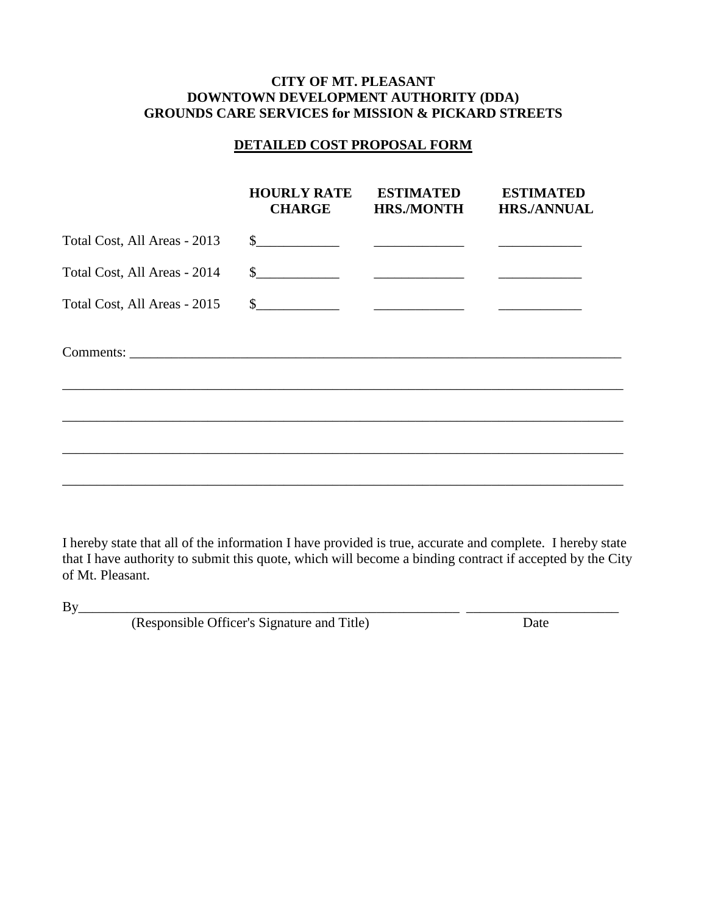#### **CITY OF MT. PLEASANT DOWNTOWN DEVELOPMENT AUTHORITY (DDA) GROUNDS CARE SERVICES for MISSION & PICKARD STREETS**

#### **DETAILED COST PROPOSAL FORM**

|                              | <b>HOURLY RATE</b><br><b>CHARGE</b> | <b>ESTIMATED</b><br><b>HRS./MONTH</b> | <b>ESTIMATED</b><br><b>HRS./ANNUAL</b> |
|------------------------------|-------------------------------------|---------------------------------------|----------------------------------------|
| Total Cost, All Areas - 2013 |                                     |                                       |                                        |
| Total Cost, All Areas - 2014 |                                     |                                       |                                        |
| Total Cost, All Areas - 2015 |                                     |                                       |                                        |
|                              |                                     |                                       |                                        |
|                              |                                     |                                       |                                        |
|                              |                                     |                                       |                                        |
|                              |                                     |                                       |                                        |

I hereby state that all of the information I have provided is true, accurate and complete. I hereby state that I have authority to submit this quote, which will become a binding contract if accepted by the City of Mt. Pleasant.

By\_\_\_\_\_\_\_\_\_\_\_\_\_\_\_\_\_\_\_\_\_\_\_\_\_\_\_\_\_\_\_\_\_\_\_\_\_\_\_\_\_\_\_\_\_\_\_\_\_\_\_\_\_\_\_ \_\_\_\_\_\_\_\_\_\_\_\_\_\_\_\_\_\_\_\_\_\_

| (Responsible Officer's Signature and Title) | Date |
|---------------------------------------------|------|
|                                             |      |